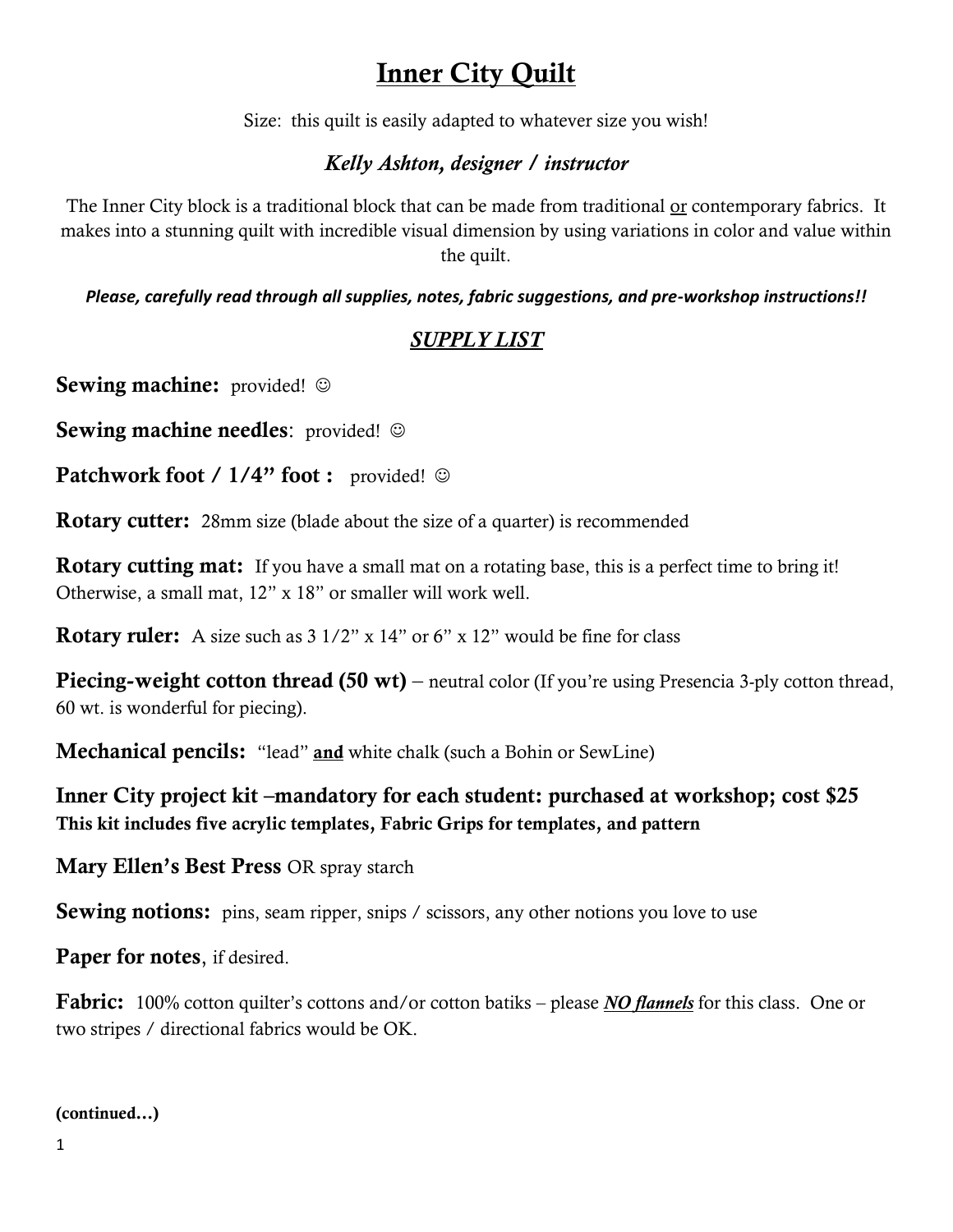# Inner City Quilt

Size: this quilt is easily adapted to whatever size you wish!

### *Kelly Ashton, designer / instructor*

The Inner City block is a traditional block that can be made from traditional or contemporary fabrics. It makes into a stunning quilt with incredible visual dimension by using variations in color and value within the quilt.

*Please, carefully read through all supplies, notes, fabric suggestions, and pre-workshop instructions!!*

### *SUPPLY LIST*

Sewing machine: provided!  $\odot$ 

Sewing machine needles: provided! ©

Patchwork foot / 1/4" foot : provided! ©

**Rotary cutter:** 28mm size (blade about the size of a quarter) is recommended

Rotary cutting mat: If you have a small mat on a rotating base, this is a perfect time to bring it! Otherwise, a small mat, 12" x 18" or smaller will work well.

**Rotary ruler:** A size such as  $3 \frac{1}{2}$ " x  $14$ " or 6" x  $12$ " would be fine for class

**Piecing-weight cotton thread (50 wt)** – neutral color (If you're using Presencia 3-ply cotton thread, 60 wt. is wonderful for piecing).

**Mechanical pencils:** "lead" **and** white chalk (such a Bohin or SewLine)

Inner City project kit –mandatory for each student: purchased at workshop; cost \$25 This kit includes five acrylic templates, Fabric Grips for templates, and pattern

Mary Ellen's Best Press OR spray starch

**Sewing notions:** pins, seam ripper, snips / scissors, any other notions you love to use

Paper for notes, if desired.

Fabric: 100% cotton quilter's cottons and/or cotton batiks – please *NO flannels* for this class. One or two stripes / directional fabrics would be OK.

#### (continued…)